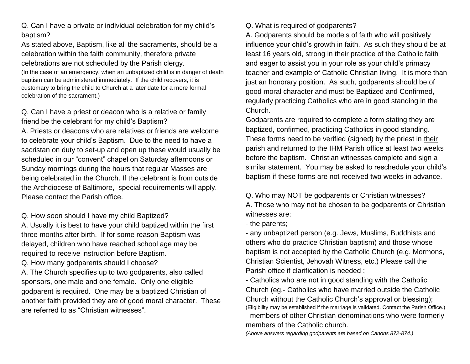Q. Can I have a private or individual celebration for my child's baptism?

As stated above, Baptism, like all the sacraments, should be a celebration within the faith community, therefore private celebrations are not scheduled by the Parish clergy. (In the case of an emergency, when an unbaptized child is in danger of death baptism can be administered immediately. If the child recovers, it is customary to bring the child to Church at a later date for a more formal celebration of the sacrament.)

Q. Can I have a priest or deacon who is a relative or family friend be the celebrant for my child's Baptism? A. Priests or deacons who are relatives or friends are welcome to celebrate your child's Baptism. Due to the need to have a sacristan on duty to set-up and open up these would usually be scheduled in our "convent" chapel on Saturday afternoons or Sunday mornings during the hours that regular Masses are being celebrated in the Church. If the celebrant is from outside the Archdiocese of Baltimore, special requirements will apply. Please contact the Parish office.

Q. How soon should I have my child Baptized?

A. Usually it is best to have your child baptized within the first three months after birth. If for some reason Baptism was delayed, children who have reached school age may be required to receive instruction before Baptism.

Q. How many godparents should I choose?

A. The Church specifies up to two godparents, also called sponsors, one male and one female. Only one eligible godparent is required. One may be a baptized Christian of another faith provided they are of good moral character. These are referred to as "Christian witnesses".

## Q. What is required of godparents?

A. Godparents should be models of faith who will positively influence your child's growth in faith. As such they should be at least 16 years old, strong in their practice of the Catholic faith and eager to assist you in your role as your child's primacy teacher and example of Catholic Christian living. It is more than just an honorary position. As such, godparents should be of good moral character and must be Baptized and Confirmed, regularly practicing Catholics who are in good standing in the Church.

Godparents are required to complete a form stating they are baptized, confirmed, practicing Catholics in good standing. These forms need to be verified (signed) by the priest in their parish and returned to the IHM Parish office at least two weeks before the baptism. Christian witnesses complete and sign a similar statement. You may be asked to reschedule your child's baptism if these forms are not received two weeks in advance.

Q. Who may NOT be godparents or Christian witnesses? A. Those who may not be chosen to be godparents or Christian witnesses are:

- the parents;

- any unbaptized person (e.g. Jews, Muslims, Buddhists and others who do practice Christian baptism) and those whose baptism is not accepted by the Catholic Church (e.g. Mormons, Christian Scientist, Jehovah Witness, etc.) Please call the Parish office if clarification is needed ;

- Catholics who are not in good standing with the Catholic Church (eg.- Catholics who have married outside the Catholic Church without the Catholic Church's approval or blessing); (Eligibility may be established if the marriage is validated. Contact the Parish Office.) - members of other Christian denominations who were formerly members of the Catholic church.

*(Above answers regarding godparents are based on Canons 872-874.)*